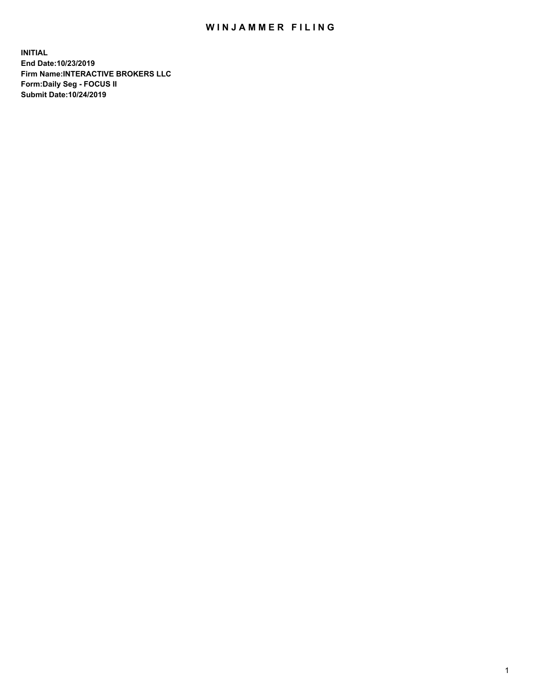## WIN JAMMER FILING

**INITIAL End Date:10/23/2019 Firm Name:INTERACTIVE BROKERS LLC Form:Daily Seg - FOCUS II Submit Date:10/24/2019**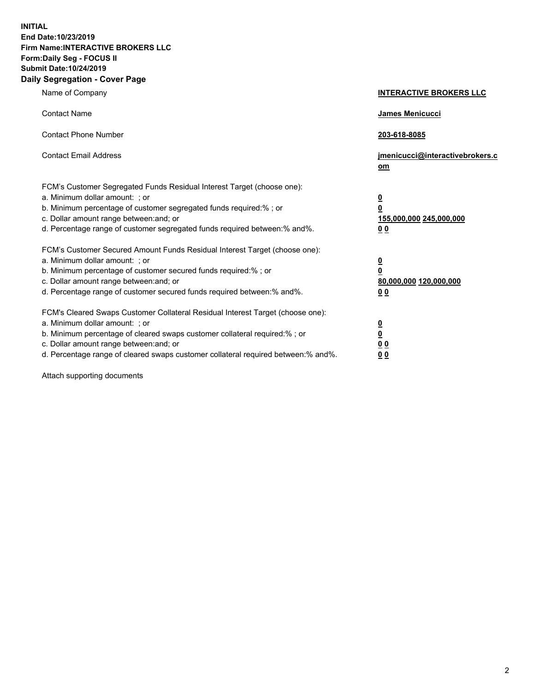**INITIAL End Date:10/23/2019 Firm Name:INTERACTIVE BROKERS LLC Form:Daily Seg - FOCUS II Submit Date:10/24/2019 Daily Segregation - Cover Page**

| Name of Company                                                                                                                                                                                                                                                                                                                | <b>INTERACTIVE BROKERS LLC</b>                                                                 |
|--------------------------------------------------------------------------------------------------------------------------------------------------------------------------------------------------------------------------------------------------------------------------------------------------------------------------------|------------------------------------------------------------------------------------------------|
| <b>Contact Name</b>                                                                                                                                                                                                                                                                                                            | James Menicucci                                                                                |
| <b>Contact Phone Number</b>                                                                                                                                                                                                                                                                                                    | 203-618-8085                                                                                   |
| <b>Contact Email Address</b>                                                                                                                                                                                                                                                                                                   | jmenicucci@interactivebrokers.c<br>om                                                          |
| FCM's Customer Segregated Funds Residual Interest Target (choose one):<br>a. Minimum dollar amount: : or<br>b. Minimum percentage of customer segregated funds required:% ; or<br>c. Dollar amount range between: and; or<br>d. Percentage range of customer segregated funds required between:% and%.                         | $\overline{\mathbf{0}}$<br>$\overline{\mathbf{0}}$<br>155,000,000 245,000,000<br>00            |
| FCM's Customer Secured Amount Funds Residual Interest Target (choose one):<br>a. Minimum dollar amount: ; or<br>b. Minimum percentage of customer secured funds required:%; or<br>c. Dollar amount range between: and; or<br>d. Percentage range of customer secured funds required between:% and%.                            | $\overline{\mathbf{0}}$<br>$\overline{\mathbf{0}}$<br>80,000,000 120,000,000<br>0 <sub>0</sub> |
| FCM's Cleared Swaps Customer Collateral Residual Interest Target (choose one):<br>a. Minimum dollar amount: ; or<br>b. Minimum percentage of cleared swaps customer collateral required:% ; or<br>c. Dollar amount range between: and; or<br>d. Percentage range of cleared swaps customer collateral required between:% and%. | $\frac{0}{0}$<br>0 <sub>0</sub><br>0 <sub>0</sub>                                              |

Attach supporting documents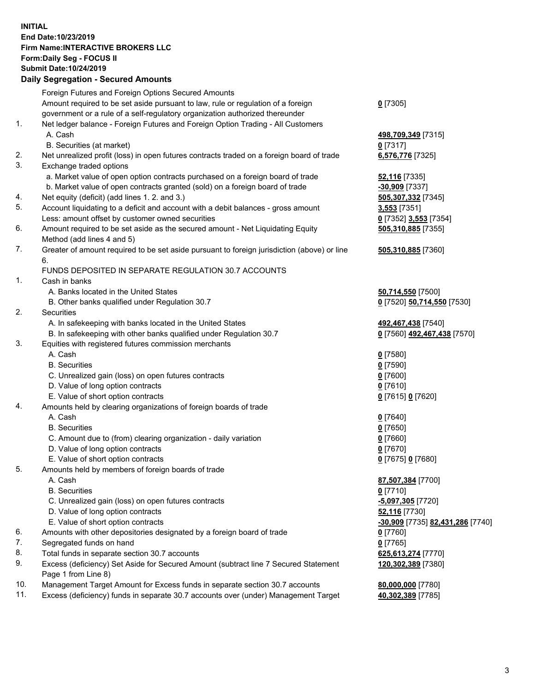## **INITIAL End Date:10/23/2019 Firm Name:INTERACTIVE BROKERS LLC Form:Daily Seg - FOCUS II Submit Date:10/24/2019 Daily Segregation - Secured Amounts**

|     | Daily Segregation - Secured Amounts                                                         |                                  |
|-----|---------------------------------------------------------------------------------------------|----------------------------------|
|     | Foreign Futures and Foreign Options Secured Amounts                                         |                                  |
|     | Amount required to be set aside pursuant to law, rule or regulation of a foreign            | $0$ [7305]                       |
|     | government or a rule of a self-regulatory organization authorized thereunder                |                                  |
| 1.  | Net ledger balance - Foreign Futures and Foreign Option Trading - All Customers             |                                  |
|     | A. Cash                                                                                     | 498,709,349 [7315]               |
|     | B. Securities (at market)                                                                   | $0$ [7317]                       |
| 2.  | Net unrealized profit (loss) in open futures contracts traded on a foreign board of trade   | 6,576,776 [7325]                 |
| 3.  | Exchange traded options                                                                     |                                  |
|     | a. Market value of open option contracts purchased on a foreign board of trade              | <b>52,116</b> [7335]             |
|     | b. Market value of open contracts granted (sold) on a foreign board of trade                | $-30,909$ [7337]                 |
| 4.  | Net equity (deficit) (add lines 1. 2. and 3.)                                               | 505,307,332 [7345]               |
| 5.  | Account liquidating to a deficit and account with a debit balances - gross amount           | 3,553 [7351]                     |
|     | Less: amount offset by customer owned securities                                            | 0 [7352] 3,553 [7354]            |
| 6.  | Amount required to be set aside as the secured amount - Net Liquidating Equity              | 505,310,885 [7355]               |
|     | Method (add lines 4 and 5)                                                                  |                                  |
| 7.  | Greater of amount required to be set aside pursuant to foreign jurisdiction (above) or line | 505,310,885 [7360]               |
|     | 6.                                                                                          |                                  |
|     | FUNDS DEPOSITED IN SEPARATE REGULATION 30.7 ACCOUNTS                                        |                                  |
| 1.  | Cash in banks                                                                               |                                  |
|     | A. Banks located in the United States                                                       | 50,714,550 [7500]                |
|     | B. Other banks qualified under Regulation 30.7                                              | 0 [7520] 50,714,550 [7530]       |
| 2.  | <b>Securities</b>                                                                           |                                  |
|     | A. In safekeeping with banks located in the United States                                   | 492,467,438 [7540]               |
|     | B. In safekeeping with other banks qualified under Regulation 30.7                          | 0 [7560] 492,467,438 [7570]      |
| 3.  | Equities with registered futures commission merchants                                       |                                  |
|     | A. Cash                                                                                     | $0$ [7580]                       |
|     | <b>B.</b> Securities                                                                        | $0$ [7590]                       |
|     | C. Unrealized gain (loss) on open futures contracts                                         | $0$ [7600]                       |
|     | D. Value of long option contracts                                                           | $0$ [7610]                       |
|     | E. Value of short option contracts                                                          | 0 [7615] 0 [7620]                |
| 4.  | Amounts held by clearing organizations of foreign boards of trade                           |                                  |
|     | A. Cash                                                                                     | $0$ [7640]                       |
|     | <b>B.</b> Securities                                                                        | $0$ [7650]                       |
|     | C. Amount due to (from) clearing organization - daily variation                             | $0$ [7660]                       |
|     | D. Value of long option contracts                                                           | $0$ [7670]                       |
|     | E. Value of short option contracts                                                          | 0 [7675] 0 [7680]                |
| 5.  |                                                                                             |                                  |
|     | Amounts held by members of foreign boards of trade<br>A. Cash                               |                                  |
|     | <b>B.</b> Securities                                                                        | 87,507,384 [7700]                |
|     |                                                                                             | $0$ [7710]                       |
|     | C. Unrealized gain (loss) on open futures contracts                                         | $-5,097,305$ [7720]              |
|     | D. Value of long option contracts                                                           | 52,116 [7730]                    |
|     | E. Value of short option contracts                                                          | -30,909 [7735] 82,431,286 [7740] |
| 6.  | Amounts with other depositories designated by a foreign board of trade                      | $0$ [7760]                       |
| 7.  | Segregated funds on hand                                                                    | $0$ [7765]                       |
| 8.  | Total funds in separate section 30.7 accounts                                               | 625,613,274 [7770]               |
| 9.  | Excess (deficiency) Set Aside for Secured Amount (subtract line 7 Secured Statement         | 120,302,389 [7380]               |
|     | Page 1 from Line 8)                                                                         |                                  |
| 10. | Management Target Amount for Excess funds in separate section 30.7 accounts                 | 80,000,000 [7780]                |
| 11. | Excess (deficiency) funds in separate 30.7 accounts over (under) Management Target          | 40,302,389 [7785]                |
|     |                                                                                             |                                  |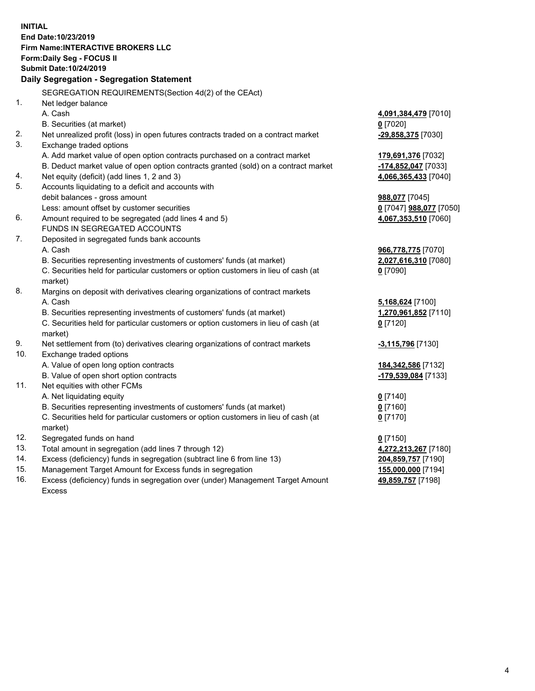**INITIAL End Date:10/23/2019 Firm Name:INTERACTIVE BROKERS LLC Form:Daily Seg - FOCUS II Submit Date:10/24/2019 Daily Segregation - Segregation Statement** SEGREGATION REQUIREMENTS(Section 4d(2) of the CEAct) 1. Net ledger balance A. Cash **4,091,384,479** [7010] B. Securities (at market) **0** [7020] 2. Net unrealized profit (loss) in open futures contracts traded on a contract market **-29,858,375** [7030] 3. Exchange traded options A. Add market value of open option contracts purchased on a contract market **179,691,376** [7032] B. Deduct market value of open option contracts granted (sold) on a contract market **-174,852,047** [7033] 4. Net equity (deficit) (add lines 1, 2 and 3) **4,066,365,433** [7040] 5. Accounts liquidating to a deficit and accounts with debit balances - gross amount **988,077** [7045] Less: amount offset by customer securities **0** [7047] **988,077** [7050] 6. Amount required to be segregated (add lines 4 and 5) **4,067,353,510** [7060] FUNDS IN SEGREGATED ACCOUNTS 7. Deposited in segregated funds bank accounts A. Cash **966,778,775** [7070] B. Securities representing investments of customers' funds (at market) **2,027,616,310** [7080] C. Securities held for particular customers or option customers in lieu of cash (at market) **0** [7090] 8. Margins on deposit with derivatives clearing organizations of contract markets A. Cash **5,168,624** [7100] B. Securities representing investments of customers' funds (at market) **1,270,961,852** [7110] C. Securities held for particular customers or option customers in lieu of cash (at market) **0** [7120] 9. Net settlement from (to) derivatives clearing organizations of contract markets **-3,115,796** [7130] 10. Exchange traded options A. Value of open long option contracts **184,342,586** [7132] B. Value of open short option contracts **-179,539,084** [7133] 11. Net equities with other FCMs A. Net liquidating equity **0** [7140] B. Securities representing investments of customers' funds (at market) **0** [7160] C. Securities held for particular customers or option customers in lieu of cash (at market) **0** [7170] 12. Segregated funds on hand **0** [7150] 13. Total amount in segregation (add lines 7 through 12) **4,272,213,267** [7180] 14. Excess (deficiency) funds in segregation (subtract line 6 from line 13) **204,859,757** [7190] 15. Management Target Amount for Excess funds in segregation **155,000,000** [7194]

16. Excess (deficiency) funds in segregation over (under) Management Target Amount Excess

**49,859,757** [7198]